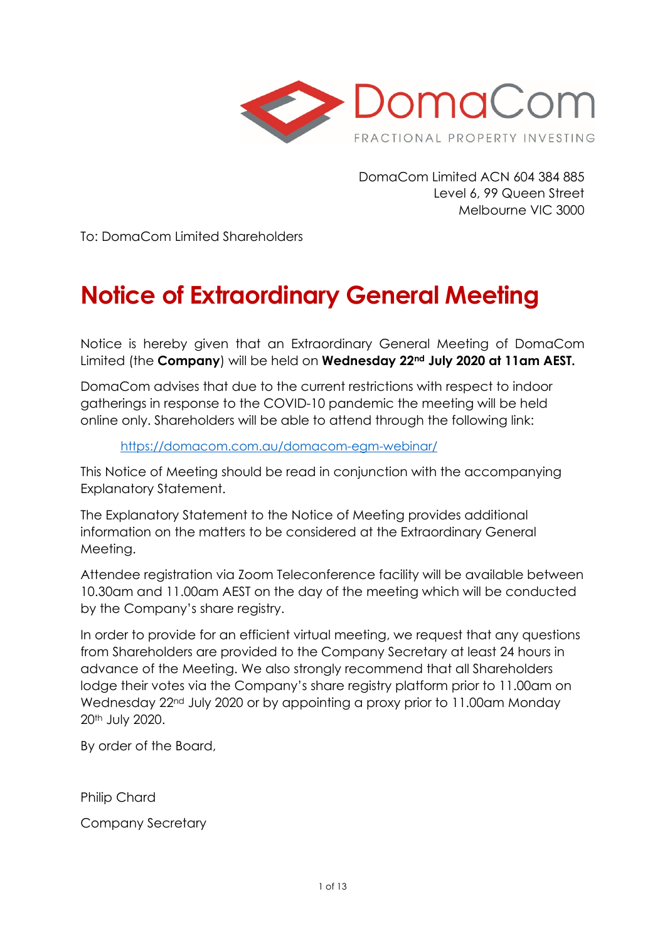

DomaCom Limited ACN 604 384 885 Level 6, 99 Queen Street Melbourne VIC 3000

To: DomaCom Limited Shareholders

# **Notice of Extraordinary General Meeting**

Notice is hereby given that an Extraordinary General Meeting of DomaCom Limited (the **Company**) will be held on **Wednesday 22nd July 2020 at 11am AEST.** 

DomaCom advises that due to the current restrictions with respect to indoor gatherings in response to the COVID-10 pandemic the meeting will be held online only. Shareholders will be able to attend through the following link:

### <https://domacom.com.au/domacom-egm-webinar/>

This Notice of Meeting should be read in conjunction with the accompanying Explanatory Statement.

The Explanatory Statement to the Notice of Meeting provides additional information on the matters to be considered at the Extraordinary General Meeting.

Attendee registration via Zoom Teleconference facility will be available between 10.30am and 11.00am AEST on the day of the meeting which will be conducted by the Company's share registry.

In order to provide for an efficient virtual meeting, we request that any questions from Shareholders are provided to the Company Secretary at least 24 hours in advance of the Meeting. We also strongly recommend that all Shareholders lodge their votes via the Company's share registry platform prior to 11.00am on Wednesday 22<sup>nd</sup> July 2020 or by appointing a proxy prior to 11.00am Monday 20th July 2020.

By order of the Board,

Philip Chard

Company Secretary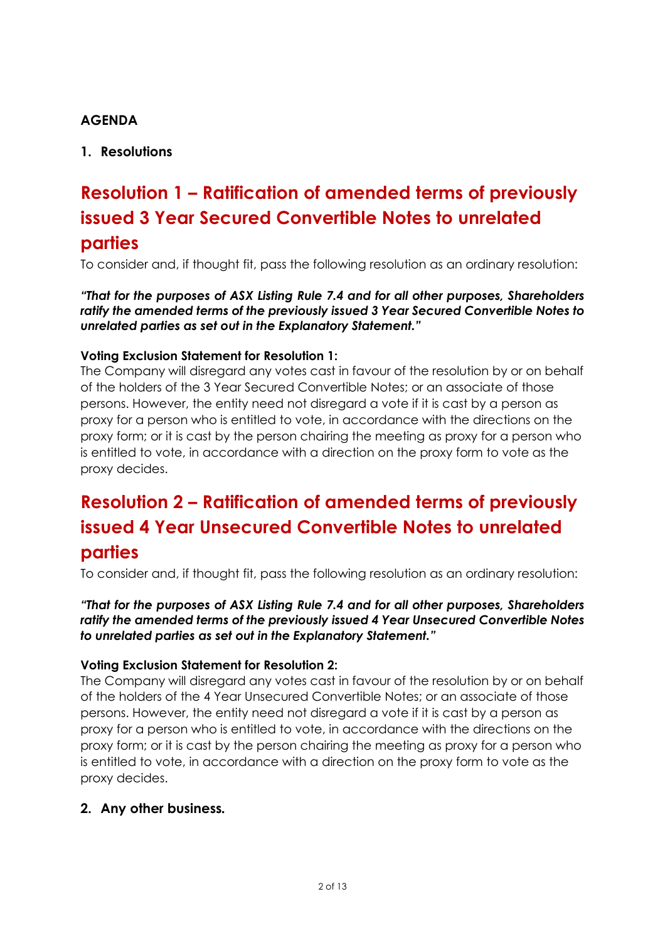# **AGENDA**

# **1. Resolutions**

# **Resolution 1 – Ratification of amended terms of previously issued 3 Year Secured Convertible Notes to unrelated parties**

To consider and, if thought fit, pass the following resolution as an ordinary resolution:

*"That for the purposes of ASX Listing Rule 7.4 and for all other purposes, Shareholders ratify the amended terms of the previously issued 3 Year Secured Convertible Notes to unrelated parties as set out in the Explanatory Statement."*

### **Voting Exclusion Statement for Resolution 1:**

The Company will disregard any votes cast in favour of the resolution by or on behalf of the holders of the 3 Year Secured Convertible Notes; or an associate of those persons. However, the entity need not disregard a vote if it is cast by a person as proxy for a person who is entitled to vote, in accordance with the directions on the proxy form; or it is cast by the person chairing the meeting as proxy for a person who is entitled to vote, in accordance with a direction on the proxy form to vote as the proxy decides.

# **Resolution 2 – Ratification of amended terms of previously issued 4 Year Unsecured Convertible Notes to unrelated parties**

To consider and, if thought fit, pass the following resolution as an ordinary resolution:

*"That for the purposes of ASX Listing Rule 7.4 and for all other purposes, Shareholders ratify the amended terms of the previously issued 4 Year Unsecured Convertible Notes to unrelated parties as set out in the Explanatory Statement."*

### **Voting Exclusion Statement for Resolution 2:**

The Company will disregard any votes cast in favour of the resolution by or on behalf of the holders of the 4 Year Unsecured Convertible Notes; or an associate of those persons. However, the entity need not disregard a vote if it is cast by a person as proxy for a person who is entitled to vote, in accordance with the directions on the proxy form; or it is cast by the person chairing the meeting as proxy for a person who is entitled to vote, in accordance with a direction on the proxy form to vote as the proxy decides.

## **2. Any other business***.*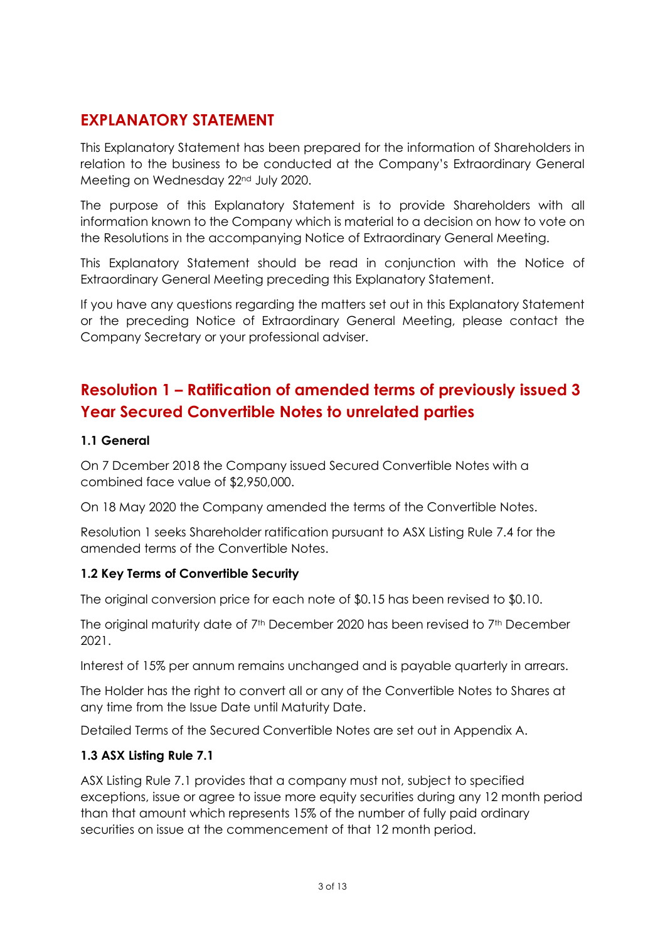# **EXPLANATORY STATEMENT**

This Explanatory Statement has been prepared for the information of Shareholders in relation to the business to be conducted at the Company's Extraordinary General Meeting on Wednesday 22<sup>nd</sup> July 2020.

The purpose of this Explanatory Statement is to provide Shareholders with all information known to the Company which is material to a decision on how to vote on the Resolutions in the accompanying Notice of Extraordinary General Meeting.

This Explanatory Statement should be read in conjunction with the Notice of Extraordinary General Meeting preceding this Explanatory Statement.

If you have any questions regarding the matters set out in this Explanatory Statement or the preceding Notice of Extraordinary General Meeting, please contact the Company Secretary or your professional adviser.

# **Resolution 1 – Ratification of amended terms of previously issued 3 Year Secured Convertible Notes to unrelated parties**

### **1.1 General**

On 7 Dcember 2018 the Company issued Secured Convertible Notes with a combined face value of \$2,950,000.

On 18 May 2020 the Company amended the terms of the Convertible Notes.

Resolution 1 seeks Shareholder ratification pursuant to ASX Listing Rule 7.4 for the amended terms of the Convertible Notes.

## **1.2 Key Terms of Convertible Security**

The original conversion price for each note of \$0.15 has been revised to \$0.10.

The original maturity date of 7<sup>th</sup> December 2020 has been revised to 7<sup>th</sup> December 2021.

Interest of 15% per annum remains unchanged and is payable quarterly in arrears.

The Holder has the right to convert all or any of the Convertible Notes to Shares at any time from the Issue Date until Maturity Date.

Detailed Terms of the Secured Convertible Notes are set out in Appendix A.

### **1.3 ASX Listing Rule 7.1**

ASX Listing Rule 7.1 provides that a company must not, subject to specified exceptions, issue or agree to issue more equity securities during any 12 month period than that amount which represents 15% of the number of fully paid ordinary securities on issue at the commencement of that 12 month period.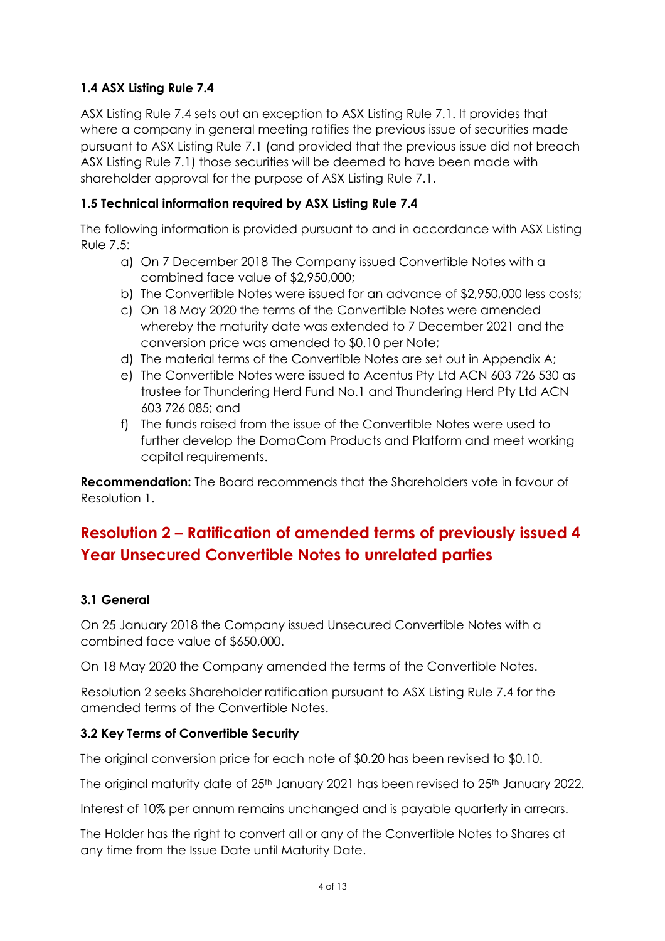# **1.4 ASX Listing Rule 7.4**

ASX Listing Rule 7.4 sets out an exception to ASX Listing Rule 7.1. It provides that where a company in general meeting ratifies the previous issue of securities made pursuant to ASX Listing Rule 7.1 (and provided that the previous issue did not breach ASX Listing Rule 7.1) those securities will be deemed to have been made with shareholder approval for the purpose of ASX Listing Rule 7.1.

### **1.5 Technical information required by ASX Listing Rule 7.4**

The following information is provided pursuant to and in accordance with ASX Listing Rule 7.5:

- a) On 7 December 2018 The Company issued Convertible Notes with a combined face value of \$2,950,000;
- b) The Convertible Notes were issued for an advance of \$2,950,000 less costs;
- c) On 18 May 2020 the terms of the Convertible Notes were amended whereby the maturity date was extended to 7 December 2021 and the conversion price was amended to \$0.10 per Note;
- d) The material terms of the Convertible Notes are set out in Appendix A;
- e) The Convertible Notes were issued to Acentus Pty Ltd ACN 603 726 530 as trustee for Thundering Herd Fund No.1 and Thundering Herd Pty Ltd ACN 603 726 085; and
- f) The funds raised from the issue of the Convertible Notes were used to further develop the DomaCom Products and Platform and meet working capital requirements.

**Recommendation:** The Board recommends that the Shareholders vote in favour of Resolution 1.

# **Resolution 2 – Ratification of amended terms of previously issued 4 Year Unsecured Convertible Notes to unrelated parties**

## **3.1 General**

On 25 January 2018 the Company issued Unsecured Convertible Notes with a combined face value of \$650,000.

On 18 May 2020 the Company amended the terms of the Convertible Notes.

Resolution 2 seeks Shareholder ratification pursuant to ASX Listing Rule 7.4 for the amended terms of the Convertible Notes.

### **3.2 Key Terms of Convertible Security**

The original conversion price for each note of \$0.20 has been revised to \$0.10.

The original maturity date of 25<sup>th</sup> January 2021 has been revised to 25<sup>th</sup> January 2022.

Interest of 10% per annum remains unchanged and is payable quarterly in arrears.

The Holder has the right to convert all or any of the Convertible Notes to Shares at any time from the Issue Date until Maturity Date.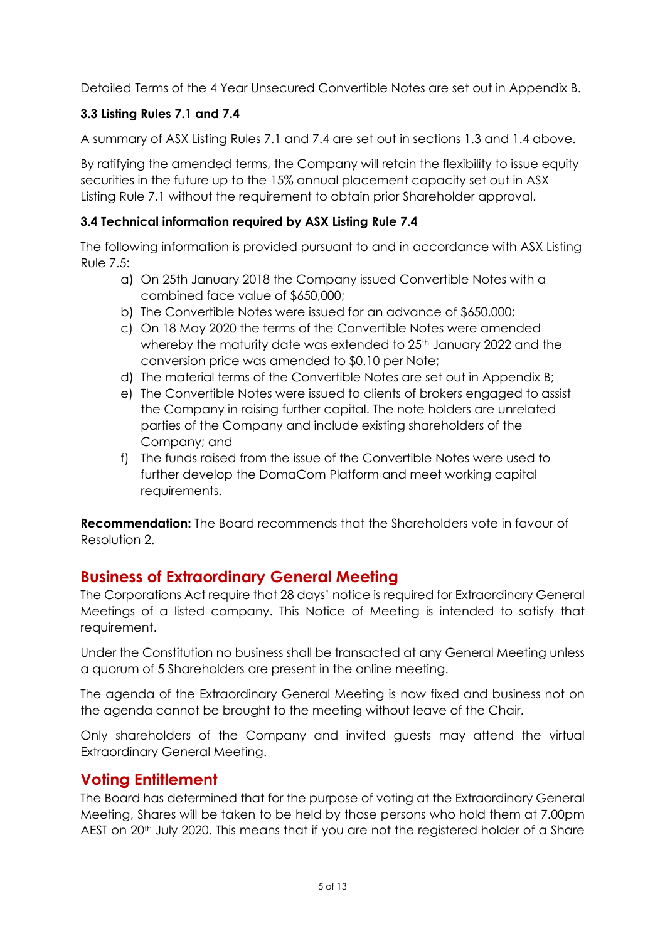Detailed Terms of the 4 Year Unsecured Convertible Notes are set out in Appendix B.

# **3.3 Listing Rules 7.1 and 7.4**

A summary of ASX Listing Rules 7.1 and 7.4 are set out in sections 1.3 and 1.4 above.

By ratifying the amended terms, the Company will retain the flexibility to issue equity securities in the future up to the 15% annual placement capacity set out in ASX Listing Rule 7.1 without the requirement to obtain prior Shareholder approval.

# **3.4 Technical information required by ASX Listing Rule 7.4**

The following information is provided pursuant to and in accordance with ASX Listing Rule 7.5:

- a) On 25th January 2018 the Company issued Convertible Notes with a combined face value of \$650,000;
- b) The Convertible Notes were issued for an advance of \$650,000;
- c) On 18 May 2020 the terms of the Convertible Notes were amended whereby the maturity date was extended to 25<sup>th</sup> January 2022 and the conversion price was amended to \$0.10 per Note;
- d) The material terms of the Convertible Notes are set out in Appendix B;
- e) The Convertible Notes were issued to clients of brokers engaged to assist the Company in raising further capital. The note holders are unrelated parties of the Company and include existing shareholders of the Company; and
- f) The funds raised from the issue of the Convertible Notes were used to further develop the DomaCom Platform and meet working capital requirements.

**Recommendation:** The Board recommends that the Shareholders vote in favour of Resolution 2.

# **Business of Extraordinary General Meeting**

The Corporations Act require that 28 days' notice is required for Extraordinary General Meetings of a listed company. This Notice of Meeting is intended to satisfy that requirement.

Under the Constitution no business shall be transacted at any General Meeting unless a quorum of 5 Shareholders are present in the online meeting.

The agenda of the Extraordinary General Meeting is now fixed and business not on the agenda cannot be brought to the meeting without leave of the Chair.

Only shareholders of the Company and invited guests may attend the virtual Extraordinary General Meeting.

# **Voting Entitlement**

The Board has determined that for the purpose of voting at the Extraordinary General Meeting, Shares will be taken to be held by those persons who hold them at 7.00pm AEST on 20<sup>th</sup> July 2020. This means that if you are not the registered holder of a Share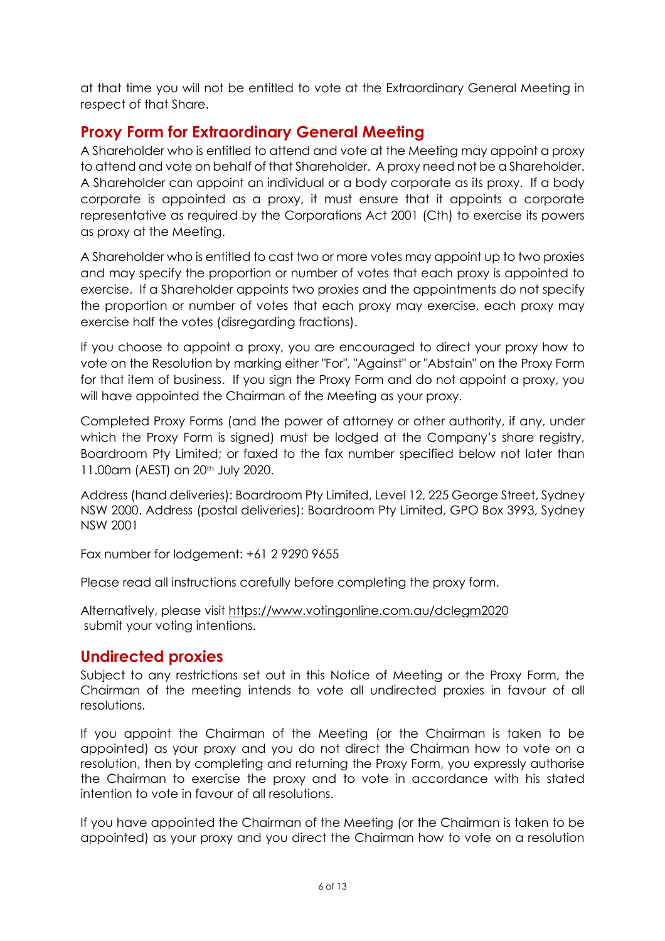at that time you will not be entitled to vote at the Extraordinary General Meeting in respect of that Share.

# **Proxy Form for Extraordinary General Meeting**

A Shareholder who is entitled to attend and vote at the Meeting may appoint a proxy to attend and vote on behalf of that Shareholder. A proxy need not be a Shareholder. A Shareholder can appoint an individual or a body corporate as its proxy. If a body corporate is appointed as a proxy, it must ensure that it appoints a corporate representative as required by the Corporations Act 2001 (Cth) to exercise its powers as proxy at the Meeting.

A Shareholder who is entitled to cast two or more votes may appoint up to two proxies and may specify the proportion or number of votes that each proxy is appointed to exercise. If a Shareholder appoints two proxies and the appointments do not specify the proportion or number of votes that each proxy may exercise, each proxy may exercise half the votes (disregarding fractions).

If you choose to appoint a proxy, you are encouraged to direct your proxy how to vote on the Resolution by marking either "For", "Against" or "Abstain" on the Proxy Form for that item of business. If you sign the Proxy Form and do not appoint a proxy, you will have appointed the Chairman of the Meeting as your proxy.

Completed Proxy Forms (and the power of attorney or other authority, if any, under which the Proxy Form is signed) must be lodged at the Company's share registry, Boardroom Pty Limited; or faxed to the fax number specified below not later than 11.00am (AEST) on 20<sup>th</sup> July 2020.

Address (hand deliveries): Boardroom Pty Limited, Level 12, 225 George Street, Sydney NSW 2000. Address (postal deliveries): Boardroom Pty Limited, GPO Box 3993, Sydney NSW 2001

Fax number for lodgement: +61 2 9290 9655

Please read all instructions carefully before completing the proxy form.

Alternatively, please visit https://www.votingonline.com.au/dclegm2020 submit your voting intentions.

# **Undirected proxies**

Subject to any restrictions set out in this Notice of Meeting or the Proxy Form, the Chairman of the meeting intends to vote all undirected proxies in favour of all resolutions.

If you appoint the Chairman of the Meeting (or the Chairman is taken to be appointed) as your proxy and you do not direct the Chairman how to vote on a resolution, then by completing and returning the Proxy Form, you expressly authorise the Chairman to exercise the proxy and to vote in accordance with his stated intention to vote in favour of all resolutions.

If you have appointed the Chairman of the Meeting (or the Chairman is taken to be appointed) as your proxy and you direct the Chairman how to vote on a resolution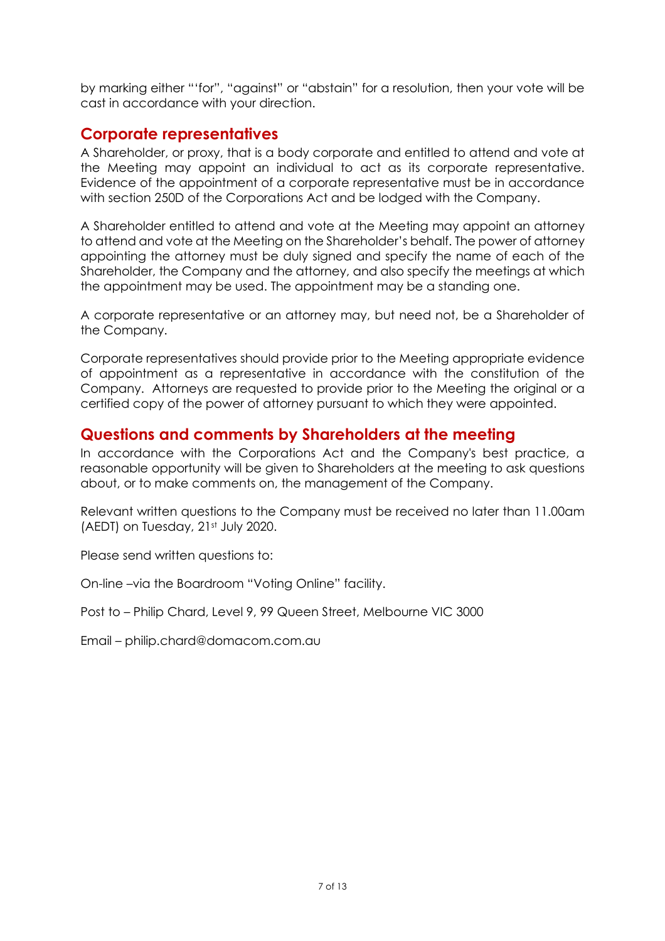by marking either "'for", "against" or "abstain" for a resolution, then your vote will be cast in accordance with your direction.

# **Corporate representatives**

A Shareholder, or proxy, that is a body corporate and entitled to attend and vote at the Meeting may appoint an individual to act as its corporate representative. Evidence of the appointment of a corporate representative must be in accordance with section 250D of the Corporations Act and be lodged with the Company.

A Shareholder entitled to attend and vote at the Meeting may appoint an attorney to attend and vote at the Meeting on the Shareholder's behalf. The power of attorney appointing the attorney must be duly signed and specify the name of each of the Shareholder, the Company and the attorney, and also specify the meetings at which the appointment may be used. The appointment may be a standing one.

A corporate representative or an attorney may, but need not, be a Shareholder of the Company.

Corporate representatives should provide prior to the Meeting appropriate evidence of appointment as a representative in accordance with the constitution of the Company. Attorneys are requested to provide prior to the Meeting the original or a certified copy of the power of attorney pursuant to which they were appointed.

# **Questions and comments by Shareholders at the meeting**

In accordance with the Corporations Act and the Company's best practice, a reasonable opportunity will be given to Shareholders at the meeting to ask questions about, or to make comments on, the management of the Company.

Relevant written questions to the Company must be received no later than 11.00am (AEDT) on Tuesday, 21st July 2020.

Please send written questions to:

On-line –via the Boardroom "Voting Online" facility.

Post to – Philip Chard, Level 9, 99 Queen Street, Melbourne VIC 3000

Email – philip.chard@domacom.com.au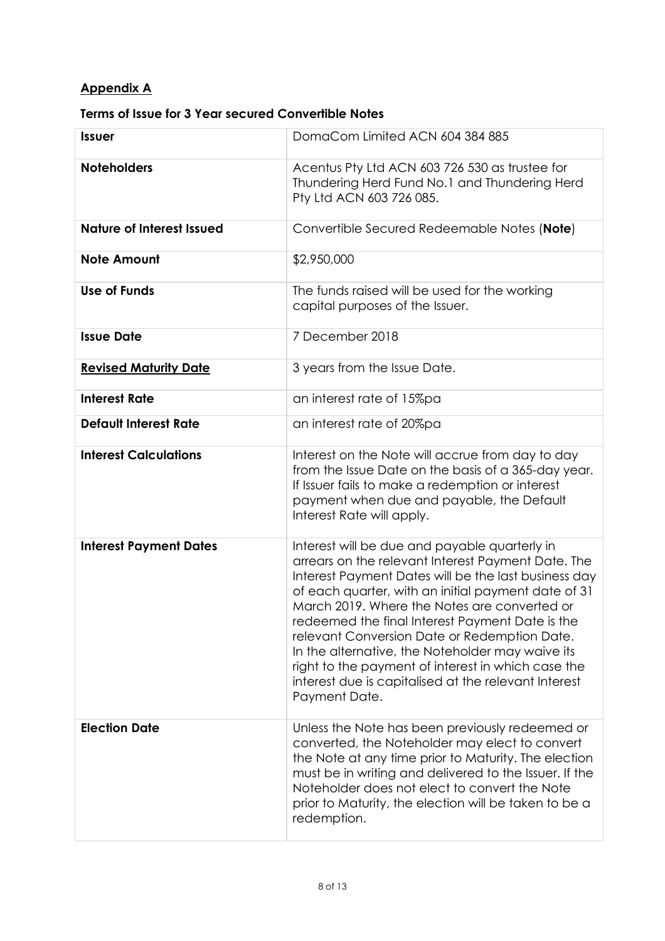# **Appendix A**

# **Terms of Issue for 3 Year secured Convertible Notes**

| <b>Issuer</b>                    | DomaCom Limited ACN 604 384 885                                                                                                                                                                                                                                                                                                                                                                                                                                                                                                                          |
|----------------------------------|----------------------------------------------------------------------------------------------------------------------------------------------------------------------------------------------------------------------------------------------------------------------------------------------------------------------------------------------------------------------------------------------------------------------------------------------------------------------------------------------------------------------------------------------------------|
| <b>Noteholders</b>               | Acentus Pty Ltd ACN 603 726 530 as trustee for<br>Thundering Herd Fund No.1 and Thundering Herd<br>Pty Ltd ACN 603 726 085.                                                                                                                                                                                                                                                                                                                                                                                                                              |
| <b>Nature of Interest Issued</b> | Convertible Secured Redeemable Notes (Note)                                                                                                                                                                                                                                                                                                                                                                                                                                                                                                              |
| <b>Note Amount</b>               | \$2,950,000                                                                                                                                                                                                                                                                                                                                                                                                                                                                                                                                              |
| <b>Use of Funds</b>              | The funds raised will be used for the working<br>capital purposes of the Issuer.                                                                                                                                                                                                                                                                                                                                                                                                                                                                         |
| <b>Issue Date</b>                | 7 December 2018                                                                                                                                                                                                                                                                                                                                                                                                                                                                                                                                          |
| <b>Revised Maturity Date</b>     | 3 years from the Issue Date.                                                                                                                                                                                                                                                                                                                                                                                                                                                                                                                             |
| <b>Interest Rate</b>             | an interest rate of 15%pa                                                                                                                                                                                                                                                                                                                                                                                                                                                                                                                                |
| <b>Default Interest Rate</b>     | an interest rate of 20%pa                                                                                                                                                                                                                                                                                                                                                                                                                                                                                                                                |
| <b>Interest Calculations</b>     | Interest on the Note will accrue from day to day<br>from the Issue Date on the basis of a 365-day year.<br>If Issuer fails to make a redemption or interest<br>payment when due and payable, the Default<br>Interest Rate will apply.                                                                                                                                                                                                                                                                                                                    |
| <b>Interest Payment Dates</b>    | Interest will be due and payable quarterly in<br>arrears on the relevant Interest Payment Date. The<br>Interest Payment Dates will be the last business day<br>of each quarter, with an initial payment date of 31<br>March 2019. Where the Notes are converted or<br>redeemed the final Interest Payment Date is the<br>relevant Conversion Date or Redemption Date.<br>In the alternative, the Noteholder may waive its<br>right to the payment of interest in which case the<br>interest due is capitalised at the relevant Interest<br>Payment Date. |
| <b>Election Date</b>             | Unless the Note has been previously redeemed or<br>converted, the Noteholder may elect to convert<br>the Note at any time prior to Maturity. The election<br>must be in writing and delivered to the Issuer. If the<br>Noteholder does not elect to convert the Note<br>prior to Maturity, the election will be taken to be a<br>redemption.                                                                                                                                                                                                             |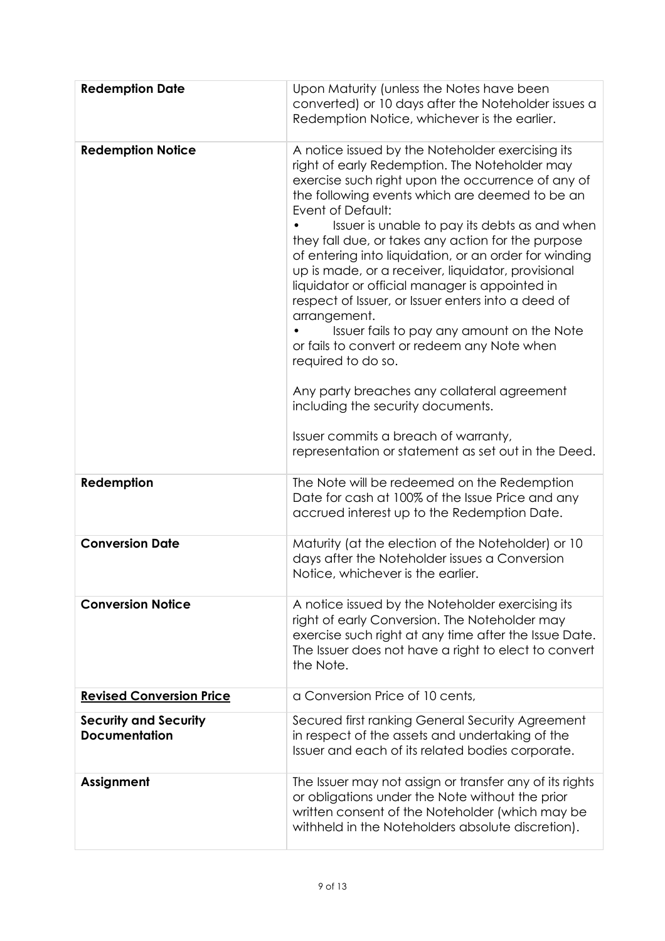| <b>Redemption Date</b>                               | Upon Maturity (unless the Notes have been<br>converted) or 10 days after the Noteholder issues a<br>Redemption Notice, whichever is the earlier.                                                                                                                                                                                                                                                                                                                                                                                                                                                                                                                                                                                                                                                                                                                                  |
|------------------------------------------------------|-----------------------------------------------------------------------------------------------------------------------------------------------------------------------------------------------------------------------------------------------------------------------------------------------------------------------------------------------------------------------------------------------------------------------------------------------------------------------------------------------------------------------------------------------------------------------------------------------------------------------------------------------------------------------------------------------------------------------------------------------------------------------------------------------------------------------------------------------------------------------------------|
| <b>Redemption Notice</b>                             | A notice issued by the Noteholder exercising its<br>right of early Redemption. The Noteholder may<br>exercise such right upon the occurrence of any of<br>the following events which are deemed to be an<br>Event of Default:<br>Issuer is unable to pay its debts as and when<br>they fall due, or takes any action for the purpose<br>of entering into liquidation, or an order for winding<br>up is made, or a receiver, liquidator, provisional<br>liquidator or official manager is appointed in<br>respect of Issuer, or Issuer enters into a deed of<br>arrangement.<br>Issuer fails to pay any amount on the Note<br>or fails to convert or redeem any Note when<br>required to do so.<br>Any party breaches any collateral agreement<br>including the security documents.<br>Issuer commits a breach of warranty,<br>representation or statement as set out in the Deed. |
| Redemption                                           | The Note will be redeemed on the Redemption<br>Date for cash at 100% of the Issue Price and any<br>accrued interest up to the Redemption Date.                                                                                                                                                                                                                                                                                                                                                                                                                                                                                                                                                                                                                                                                                                                                    |
| <b>Conversion Date</b>                               | Maturity (at the election of the Noteholder) or 10<br>days after the Noteholder issues a Conversion<br>Notice, whichever is the earlier.                                                                                                                                                                                                                                                                                                                                                                                                                                                                                                                                                                                                                                                                                                                                          |
| <b>Conversion Notice</b>                             | A notice issued by the Noteholder exercising its<br>right of early Conversion. The Noteholder may<br>exercise such right at any time after the Issue Date.<br>The Issuer does not have a right to elect to convert<br>the Note.                                                                                                                                                                                                                                                                                                                                                                                                                                                                                                                                                                                                                                                   |
| <b>Revised Conversion Price</b>                      | a Conversion Price of 10 cents,                                                                                                                                                                                                                                                                                                                                                                                                                                                                                                                                                                                                                                                                                                                                                                                                                                                   |
| <b>Security and Security</b><br><b>Documentation</b> | Secured first ranking General Security Agreement<br>in respect of the assets and undertaking of the<br>Issuer and each of its related bodies corporate.                                                                                                                                                                                                                                                                                                                                                                                                                                                                                                                                                                                                                                                                                                                           |
| Assignment                                           | The Issuer may not assign or transfer any of its rights<br>or obligations under the Note without the prior<br>written consent of the Noteholder (which may be<br>withheld in the Noteholders absolute discretion).                                                                                                                                                                                                                                                                                                                                                                                                                                                                                                                                                                                                                                                                |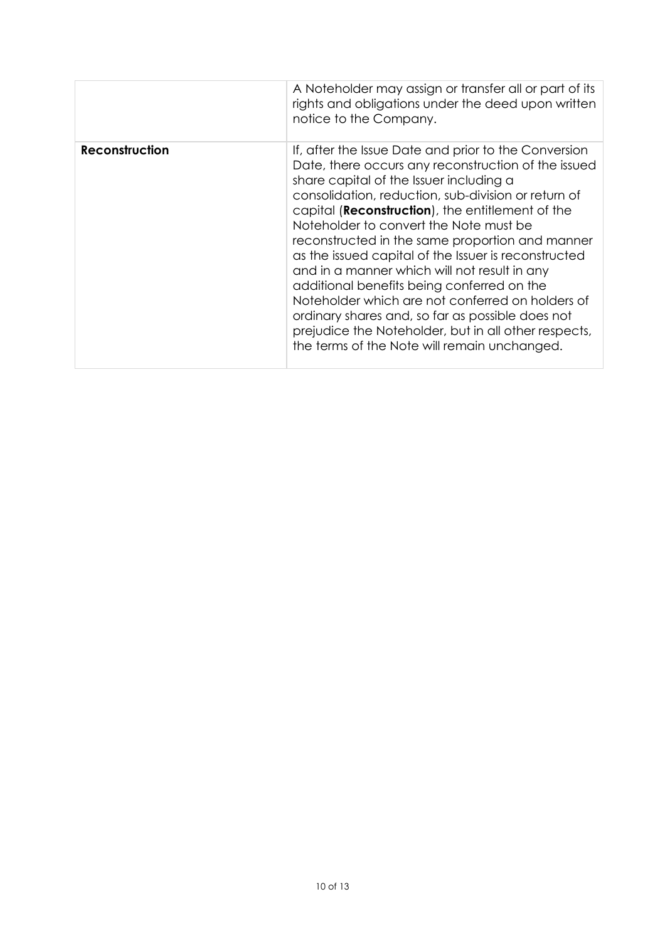|                | A Noteholder may assign or transfer all or part of its<br>rights and obligations under the deed upon written<br>notice to the Company.                                                                                                                                                                                                                                                                                                                                                                                                                                                                                                                                                                                               |
|----------------|--------------------------------------------------------------------------------------------------------------------------------------------------------------------------------------------------------------------------------------------------------------------------------------------------------------------------------------------------------------------------------------------------------------------------------------------------------------------------------------------------------------------------------------------------------------------------------------------------------------------------------------------------------------------------------------------------------------------------------------|
| Reconstruction | If, after the Issue Date and prior to the Conversion<br>Date, there occurs any reconstruction of the issued<br>share capital of the Issuer including a<br>consolidation, reduction, sub-division or return of<br>capital (Reconstruction), the entitlement of the<br>Noteholder to convert the Note must be<br>reconstructed in the same proportion and manner<br>as the issued capital of the Issuer is reconstructed<br>and in a manner which will not result in any<br>additional benefits being conferred on the<br>Noteholder which are not conferred on holders of<br>ordinary shares and, so far as possible does not<br>prejudice the Noteholder, but in all other respects,<br>the terms of the Note will remain unchanged. |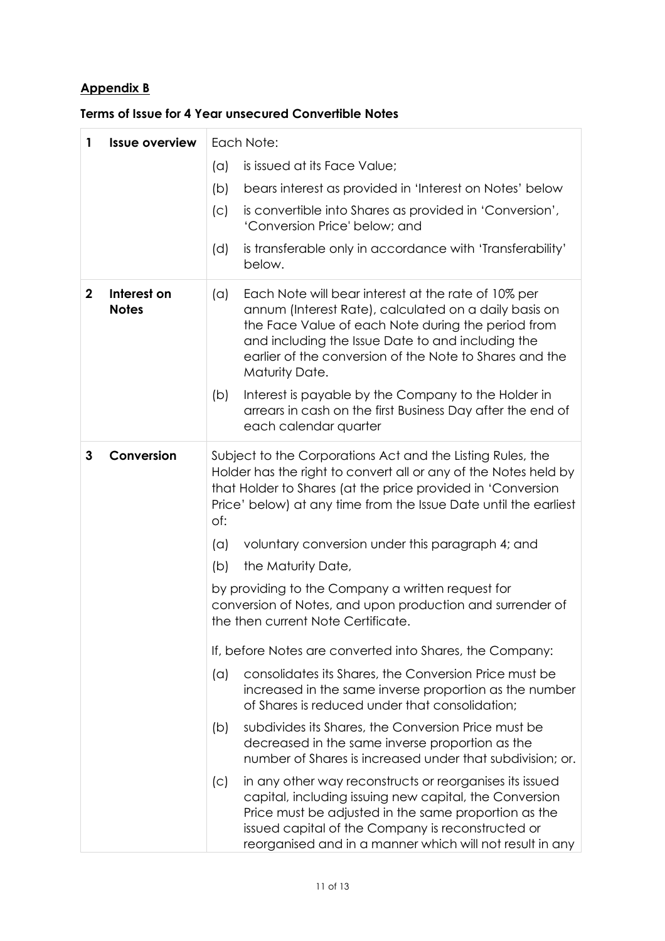# **Appendix B**

|  |  | Terms of Issue for 4 Year unsecured Convertible Notes |  |
|--|--|-------------------------------------------------------|--|
|--|--|-------------------------------------------------------|--|

| 1            | <b>Issue overview</b>       | Each Note:                                                                                                                                                                                                                                                                                                                                                                                                                              |  |  |
|--------------|-----------------------------|-----------------------------------------------------------------------------------------------------------------------------------------------------------------------------------------------------------------------------------------------------------------------------------------------------------------------------------------------------------------------------------------------------------------------------------------|--|--|
|              |                             | is issued at its Face Value;<br>(a)                                                                                                                                                                                                                                                                                                                                                                                                     |  |  |
|              |                             | (b)<br>bears interest as provided in 'Interest on Notes' below                                                                                                                                                                                                                                                                                                                                                                          |  |  |
|              |                             | (c)<br>is convertible into Shares as provided in 'Conversion',<br>'Conversion Price' below; and                                                                                                                                                                                                                                                                                                                                         |  |  |
|              |                             | is transferable only in accordance with 'Transferability'<br>(d)<br>below.                                                                                                                                                                                                                                                                                                                                                              |  |  |
| $\mathbf{2}$ | Interest on<br><b>Notes</b> | (a)<br>Each Note will bear interest at the rate of 10% per<br>annum (Interest Rate), calculated on a daily basis on<br>the Face Value of each Note during the period from<br>and including the Issue Date to and including the<br>earlier of the conversion of the Note to Shares and the<br>Maturity Date.<br>Interest is payable by the Company to the Holder in<br>(b)<br>arrears in cash on the first Business Day after the end of |  |  |
|              |                             | each calendar quarter                                                                                                                                                                                                                                                                                                                                                                                                                   |  |  |
| 3            | Conversion                  | Subject to the Corporations Act and the Listing Rules, the<br>Holder has the right to convert all or any of the Notes held by<br>that Holder to Shares (at the price provided in 'Conversion<br>Price' below) at any time from the Issue Date until the earliest<br>of:                                                                                                                                                                 |  |  |
|              |                             | voluntary conversion under this paragraph 4; and<br>(a)                                                                                                                                                                                                                                                                                                                                                                                 |  |  |
|              |                             | (b)<br>the Maturity Date,                                                                                                                                                                                                                                                                                                                                                                                                               |  |  |
|              |                             | by providing to the Company a written request for<br>conversion of Notes, and upon production and surrender of<br>the then current Note Certificate.                                                                                                                                                                                                                                                                                    |  |  |
|              |                             | If, before Notes are converted into Shares, the Company:                                                                                                                                                                                                                                                                                                                                                                                |  |  |
|              |                             | consolidates its Shares, the Conversion Price must be<br>(a)<br>increased in the same inverse proportion as the number<br>of Shares is reduced under that consolidation;                                                                                                                                                                                                                                                                |  |  |
|              |                             | subdivides its Shares, the Conversion Price must be<br>(b)<br>decreased in the same inverse proportion as the<br>number of Shares is increased under that subdivision; or.                                                                                                                                                                                                                                                              |  |  |
|              |                             | in any other way reconstructs or reorganises its issued<br>$\left( \circ \right)$<br>capital, including issuing new capital, the Conversion<br>Price must be adjusted in the same proportion as the<br>issued capital of the Company is reconstructed or<br>reorganised and in a manner which will not result in any                                                                                                                    |  |  |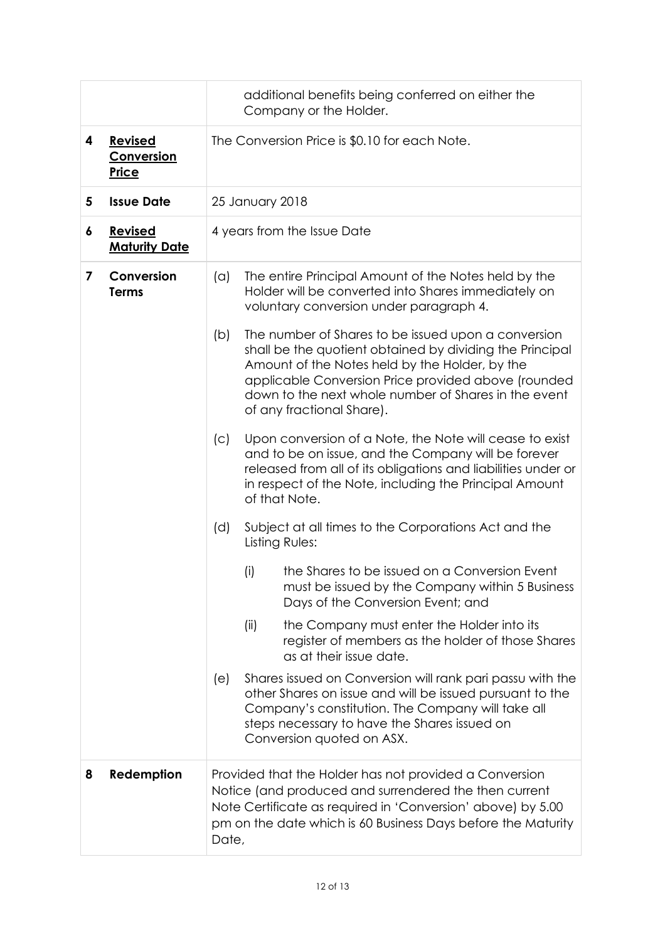|   |                                        | additional benefits being conferred on either the<br>Company or the Holder.                                                                                                                                                                                       |                                                                                                                                                                                                                                                                                                                                                                                                                                                                         |  |
|---|----------------------------------------|-------------------------------------------------------------------------------------------------------------------------------------------------------------------------------------------------------------------------------------------------------------------|-------------------------------------------------------------------------------------------------------------------------------------------------------------------------------------------------------------------------------------------------------------------------------------------------------------------------------------------------------------------------------------------------------------------------------------------------------------------------|--|
| 4 | <b>Revised</b><br>Conversion<br>Price  | The Conversion Price is \$0.10 for each Note.                                                                                                                                                                                                                     |                                                                                                                                                                                                                                                                                                                                                                                                                                                                         |  |
| 5 | <b>Issue Date</b>                      |                                                                                                                                                                                                                                                                   | 25 January 2018                                                                                                                                                                                                                                                                                                                                                                                                                                                         |  |
| 6 | <b>Revised</b><br><b>Maturity Date</b> |                                                                                                                                                                                                                                                                   | 4 years from the Issue Date                                                                                                                                                                                                                                                                                                                                                                                                                                             |  |
| 7 | Conversion<br><b>Terms</b>             | (a)<br>(b)                                                                                                                                                                                                                                                        | The entire Principal Amount of the Notes held by the<br>Holder will be converted into Shares immediately on<br>voluntary conversion under paragraph 4.<br>The number of Shares to be issued upon a conversion<br>shall be the quotient obtained by dividing the Principal<br>Amount of the Notes held by the Holder, by the<br>applicable Conversion Price provided above (rounded<br>down to the next whole number of Shares in the event<br>of any fractional Share). |  |
|   |                                        | Upon conversion of a Note, the Note will cease to exist<br>(c)<br>and to be on issue, and the Company will be forever<br>released from all of its obligations and liabilities under or<br>in respect of the Note, including the Principal Amount<br>of that Note. |                                                                                                                                                                                                                                                                                                                                                                                                                                                                         |  |
|   |                                        | Subject at all times to the Corporations Act and the<br>(d)<br>Listing Rules:                                                                                                                                                                                     |                                                                                                                                                                                                                                                                                                                                                                                                                                                                         |  |
|   |                                        |                                                                                                                                                                                                                                                                   | the Shares to be issued on a Conversion Event<br>(i)<br>must be issued by the Company within 5 Business<br>Days of the Conversion Event; and                                                                                                                                                                                                                                                                                                                            |  |
|   |                                        | the Company must enter the Holder into its<br>(ii)<br>register of members as the holder of those Shares<br>as at their issue date.                                                                                                                                |                                                                                                                                                                                                                                                                                                                                                                                                                                                                         |  |
|   |                                        | (e)                                                                                                                                                                                                                                                               | Shares issued on Conversion will rank pari passu with the<br>other Shares on issue and will be issued pursuant to the<br>Company's constitution. The Company will take all<br>steps necessary to have the Shares issued on<br>Conversion quoted on ASX.                                                                                                                                                                                                                 |  |
| 8 | Redemption                             | Date,                                                                                                                                                                                                                                                             | Provided that the Holder has not provided a Conversion<br>Notice (and produced and surrendered the then current<br>Note Certificate as required in 'Conversion' above) by 5.00<br>pm on the date which is 60 Business Days before the Maturity                                                                                                                                                                                                                          |  |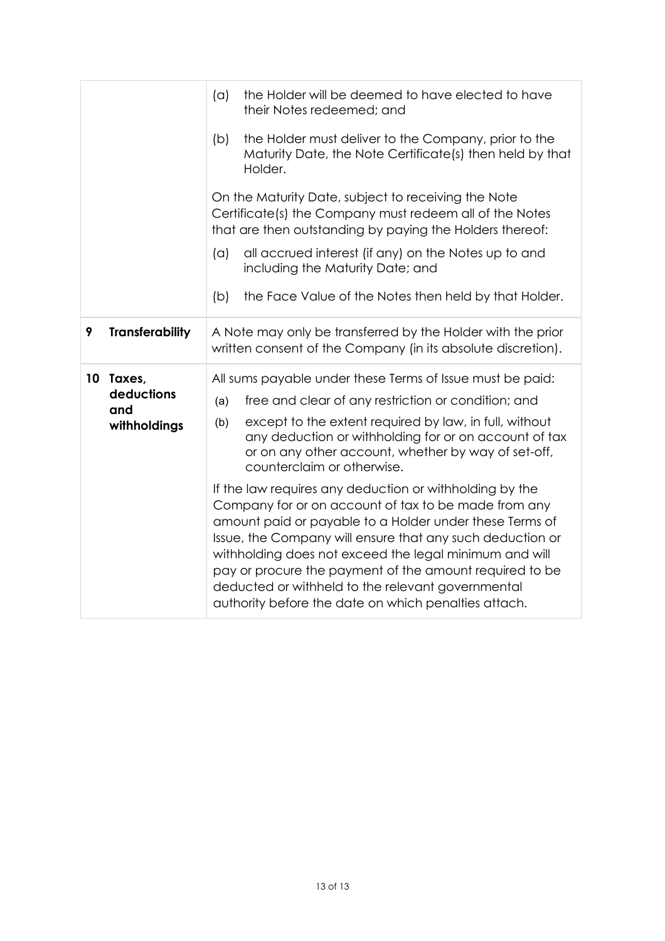|                 |                        | (a)                                                                                                                                                                        | the Holder will be deemed to have elected to have<br>their Notes redeemed; and                                                                                                                                                                                                                                                                                                                                                                                            |
|-----------------|------------------------|----------------------------------------------------------------------------------------------------------------------------------------------------------------------------|---------------------------------------------------------------------------------------------------------------------------------------------------------------------------------------------------------------------------------------------------------------------------------------------------------------------------------------------------------------------------------------------------------------------------------------------------------------------------|
|                 |                        | (b)                                                                                                                                                                        | the Holder must deliver to the Company, prior to the<br>Maturity Date, the Note Certificate(s) then held by that<br>Holder.                                                                                                                                                                                                                                                                                                                                               |
|                 |                        | On the Maturity Date, subject to receiving the Note<br>Certificate(s) the Company must redeem all of the Notes<br>that are then outstanding by paying the Holders thereof: |                                                                                                                                                                                                                                                                                                                                                                                                                                                                           |
|                 |                        | (a)                                                                                                                                                                        | all accrued interest (if any) on the Notes up to and<br>including the Maturity Date; and                                                                                                                                                                                                                                                                                                                                                                                  |
|                 |                        | (b)                                                                                                                                                                        | the Face Value of the Notes then held by that Holder.                                                                                                                                                                                                                                                                                                                                                                                                                     |
| 9               | <b>Transferability</b> |                                                                                                                                                                            | A Note may only be transferred by the Holder with the prior<br>written consent of the Company (in its absolute discretion).                                                                                                                                                                                                                                                                                                                                               |
| 10 <sup>°</sup> | Taxes,                 |                                                                                                                                                                            | All sums payable under these Terms of Issue must be paid:                                                                                                                                                                                                                                                                                                                                                                                                                 |
|                 | deductions<br>and      | (a)                                                                                                                                                                        | free and clear of any restriction or condition; and                                                                                                                                                                                                                                                                                                                                                                                                                       |
|                 | withholdings           | (b)                                                                                                                                                                        | except to the extent required by law, in full, without<br>any deduction or withholding for or on account of tax<br>or on any other account, whether by way of set-off,<br>counterclaim or otherwise.                                                                                                                                                                                                                                                                      |
|                 |                        |                                                                                                                                                                            | If the law requires any deduction or withholding by the<br>Company for or on account of tax to be made from any<br>amount paid or payable to a Holder under these Terms of<br>Issue, the Company will ensure that any such deduction or<br>withholding does not exceed the legal minimum and will<br>pay or procure the payment of the amount required to be<br>deducted or withheld to the relevant governmental<br>authority before the date on which penalties attach. |
|                 |                        |                                                                                                                                                                            |                                                                                                                                                                                                                                                                                                                                                                                                                                                                           |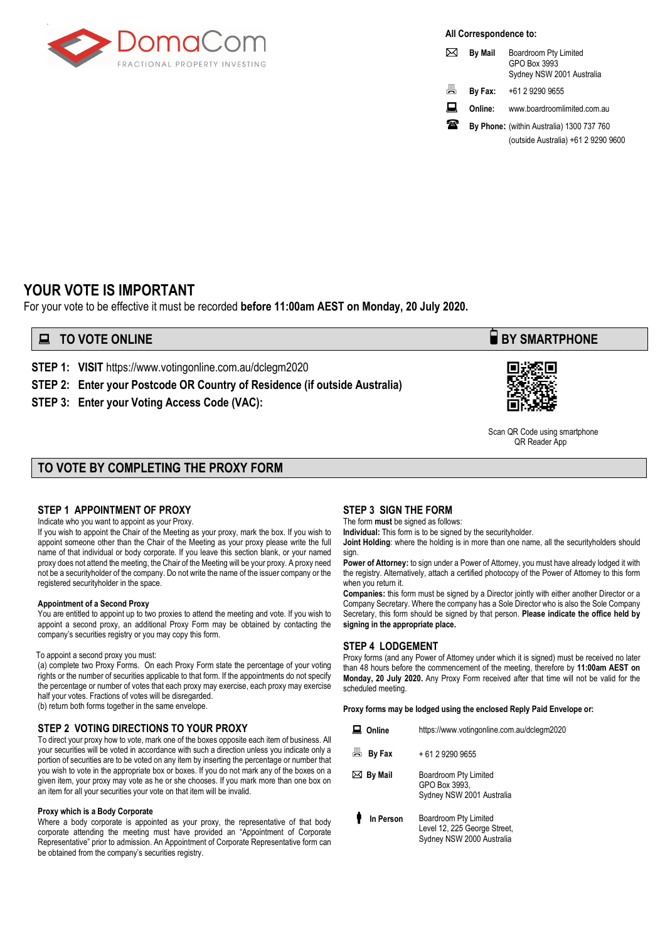

**All Correspondence to:**

| ⋈  | <b>By Mail</b> | Boardroom Pty Limited<br>GPO Box 3993<br>Sydney NSW 2001 Australia |
|----|----------------|--------------------------------------------------------------------|
| 름. | By Fax:        | +61 2 9290 9655                                                    |
| 口  | Online:        | www.boardroomlimited.com.au                                        |
|    |                |                                                                    |

**By Phone:** (within Australia) 1300 737 760 (outside Australia) +61 2 9290 9600

### **YOUR VOTE IS IMPORTANT**

For your vote to be effective it must be recorded **before 11:00am AEST on Monday, 20 July 2020.**

### **EXECUTE ONLINE BY SMARTPHONE**

**STEP 1: VISIT** https://www.votingonline.com.au/dclegm2020

**STEP 2: Enter your Postcode OR Country of Residence (if outside Australia)**

**STEP 3: Enter your Voting Access Code (VAC):**



 Scan QR Code using smartphone QR Reader App

#### **TO VOTE BY COMPLETING THE PROXY FORM**

#### **STEP 1 APPOINTMENT OF PROXY**

Indicate who you want to appoint as your Proxy.

If you wish to appoint the Chair of the Meeting as your proxy, mark the box. If you wish to appoint someone other than the Chair of the Meeting as your proxy please write the full name of that individual or body corporate. If you leave this section blank, or your named proxy does not attend the meeting, the Chair of the Meeting will be your proxy. A proxy need not be a securityholder of the company. Do not write the name of the issuer company or the registered securityholder in the space.

#### **Appointment of a Second Proxy**

You are entitled to appoint up to two proxies to attend the meeting and vote. If you wish to appoint a second proxy, an additional Proxy Form may be obtained by contacting the company's securities registry or you may copy this form.

#### To appoint a second proxy you must:

(a) complete two Proxy Forms. On each Proxy Form state the percentage of your voting rights or the number of securities applicable to that form. If the appointments do not specify the percentage or number of votes that each proxy may exercise, each proxy may exercise half your votes. Fractions of votes will be disregarded.

(b) return both forms together in the same envelope.

#### **STEP 2 VOTING DIRECTIONS TO YOUR PROXY**

To direct your proxy how to vote, mark one of the boxes opposite each item of business. All your securities will be voted in accordance with such a direction unless you indicate only a portion of securities are to be voted on any item by inserting the percentage or number that you wish to vote in the appropriate box or boxes. If you do not mark any of the boxes on a given item, your proxy may vote as he or she chooses. If you mark more than one box on an item for all your securities your vote on that item will be invalid.

#### **Proxy which is a Body Corporate**

Where a body corporate is appointed as your proxy, the representative of that body corporate attending the meeting must have provided an "Appointment of Corporate Representative" prior to admission. An Appointment of Corporate Representative form can be obtained from the company's securities registry.

#### **STEP 3 SIGN THE FORM**

The form **must** be signed as follows:

**Individual:** This form is to be signed by the securityholder.

**Joint Holding**: where the holding is in more than one name, all the securityholders should sign.

**Power of Attorney:** to sign under a Power of Attorney, you must have already lodged it with the registry. Alternatively, attach a certified photocopy of the Power of Attorney to this form when you return it.

**Companies:** this form must be signed by a Director jointly with either another Director or a Company Secretary. Where the company has a Sole Director who is also the Sole Company Secretary, this form should be signed by that person. **Please indicate the office held by signing in the appropriate place.**

#### **STEP 4 LODGEMENT**

Proxy forms (and any Power of Attorney under which it is signed) must be received no later than 48 hours before the commencement of the meeting, therefore by **11:00am AEST on Monday, 20 July 2020.** Any Proxy Form received after that time will not be valid for the scheduled meeting.

#### **Proxy forms may be lodged using the enclosed Reply Paid Envelope or:**

| Online            | https://www.votingonline.com.au/dclegm2020                                         |
|-------------------|------------------------------------------------------------------------------------|
| ā<br>By Fax       | + 61 2 9290 9655                                                                   |
| $\bowtie$ By Mail | Boardroom Pty Limited<br>GPO Box 3993,<br>Sydney NSW 2001 Australia                |
| In Person         | Boardroom Pty Limited<br>Level 12, 225 George Street,<br>Sydney NSW 2000 Australia |